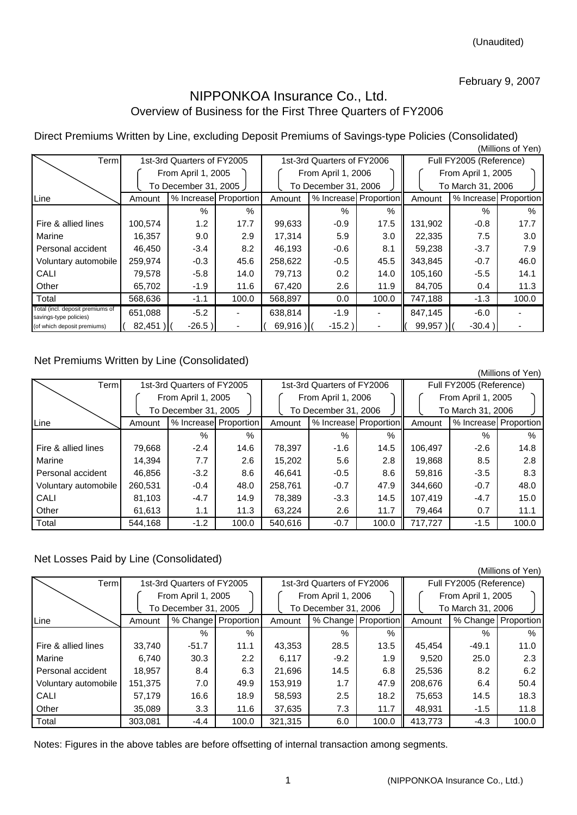## February 9, 2007

## NIPPONKOA Insurance Co., Ltd. Overview of Business for the First Three Quarters of FY2006

Direct Premiums Written by Line, excluding Deposit Premiums of Savings-type Policies (Consolidated) (Millions of Yen)

| Terml                                                      |                        | 1st-3rd Quarters of FY2005 |                       |            | 1st-3rd Quarters of FY2006 |       | Full FY2005 (Reference) |                    |                       |  |  |
|------------------------------------------------------------|------------------------|----------------------------|-----------------------|------------|----------------------------|-------|-------------------------|--------------------|-----------------------|--|--|
|                                                            |                        | From April 1, 2005         |                       |            | From April 1, 2006         |       |                         | From April 1, 2005 |                       |  |  |
|                                                            | To December 31, 2005 ) |                            |                       |            | To December 31, 2006       |       | To March 31, 2006       |                    |                       |  |  |
| Line                                                       | Amount                 |                            | % Increase Proportion | Amount     | % Increase Proportion      |       | Amount                  |                    | % Increase Proportion |  |  |
|                                                            |                        | $\%$                       | $\%$                  |            | $\%$                       | $\%$  |                         | %                  | $\%$                  |  |  |
| Fire & allied lines                                        | 100,574                | 1.2                        | 17.7                  | 99,633     | $-0.9$                     | 17.5  | 131,902                 | $-0.8$             | 17.7                  |  |  |
| Marine                                                     | 16,357                 | 9.0                        | 2.9                   | 17,314     | 5.9                        | 3.0   | 22,335                  | 7.5                | 3.0                   |  |  |
| Personal accident                                          | 46,450                 | $-3.4$                     | 8.2                   | 46,193     | $-0.6$                     | 8.1   | 59,238                  | $-3.7$             | 7.9                   |  |  |
| Voluntary automobile                                       | 259,974                | $-0.3$                     | 45.6                  | 258,622    | $-0.5$                     | 45.5  | 343,845                 | $-0.7$             | 46.0                  |  |  |
| CALI                                                       | 79,578                 | $-5.8$                     | 14.0                  | 79,713     | 0.2                        | 14.0  | 105,160                 | $-5.5$             | 14.1                  |  |  |
| Other                                                      | 65,702                 | $-1.9$                     | 11.6                  | 67,420     | 2.6                        | 11.9  | 84,705                  | 0.4                | 11.3                  |  |  |
| Total                                                      | 568,636                | $-1.1$                     | 100.0                 | 568,897    | 0.0                        | 100.0 | 747,188                 | $-1.3$             | 100.0                 |  |  |
| Total (incl. deposit premiums of<br>savings-type policies) | 651,088                | $-5.2$                     |                       | 638.814    | $-1.9$                     |       | 847.145                 | $-6.0$             |                       |  |  |
| (of which deposit premiums)                                | $82,451$ )             | $-26.5)$                   |                       | $69,916$ ) | $-15.2$ )                  |       | 99,957                  | $-30.4)$           |                       |  |  |

## Net Premiums Written by Line (Consolidated)

|                      |         |                            |                       |                            |                       |       |                         |                       | (Millions of Yen) |  |
|----------------------|---------|----------------------------|-----------------------|----------------------------|-----------------------|-------|-------------------------|-----------------------|-------------------|--|
| Term                 |         | 1st-3rd Quarters of FY2005 |                       | 1st-3rd Quarters of FY2006 |                       |       | Full FY2005 (Reference) |                       |                   |  |
|                      |         | From April 1, 2005         |                       |                            | From April 1, 2006    |       | From April 1, 2005      |                       |                   |  |
|                      |         | To December 31, 2005       |                       |                            | To December 31, 2006  |       | To March 31, 2006       |                       |                   |  |
| Line                 | Amount  |                            | % Increase Proportion | Amount                     | % Increase Proportion |       | Amount                  | % Increase Proportion |                   |  |
|                      |         | $\%$                       | $\%$                  |                            | $\%$                  | %     |                         | $\%$                  | $\%$              |  |
| Fire & allied lines  | 79,668  | $-2.4$                     | 14.6                  | 78,397                     | $-1.6$                | 14.5  | 106,497                 | $-2.6$                | 14.8              |  |
| Marine               | 14,394  | 7.7                        | 2.6                   | 15,202                     | 5.6                   | 2.8   | 19,868                  | 8.5                   | 2.8               |  |
| Personal accident    | 46.856  | $-3.2$                     | 8.6                   | 46.641                     | $-0.5$                | 8.6   | 59.816                  | $-3.5$                | 8.3               |  |
| Voluntary automobile | 260,531 | $-0.4$                     | 48.0                  | 258.761                    | $-0.7$                | 47.9  | 344.660                 | $-0.7$                | 48.0              |  |
| CALI                 | 81,103  | $-4.7$                     | 14.9                  | 78,389                     | $-3.3$                | 14.5  | 107,419                 | $-4.7$                | 15.0              |  |
| Other                | 61,613  | 1.1                        | 11.3                  | 63,224                     | 2.6                   | 11.7  | 79,464                  | 0.7                   | 11.1              |  |
| Total                | 544.168 | $-1.2$                     | 100.0                 | 540.616                    | $-0.7$                | 100.0 | 717.727                 | $-1.5$                | 100.0             |  |

## Net Losses Paid by Line (Consolidated)

|                      |                    |                            |                       |         |                            |                     |                         |                   | , וויט וויט טווישווי |  |  |
|----------------------|--------------------|----------------------------|-----------------------|---------|----------------------------|---------------------|-------------------------|-------------------|----------------------|--|--|
| Term                 |                    | 1st-3rd Quarters of FY2005 |                       |         | 1st-3rd Quarters of FY2006 |                     | Full FY2005 (Reference) |                   |                      |  |  |
|                      | From April 1, 2005 |                            |                       |         | From April 1, 2006         |                     | From April 1, 2005      |                   |                      |  |  |
|                      |                    | To December 31, 2005       |                       |         | To December 31, 2006       |                     |                         | To March 31, 2006 |                      |  |  |
| Line                 | Amount             |                            | % Change   Proportion | Amount  |                            | % Change Proportion | Amount                  |                   | % Change Proportion  |  |  |
|                      |                    | $\%$                       | $\%$                  |         | $\%$                       | $\%$                |                         | $\%$              | $\%$                 |  |  |
| Fire & allied lines  | 33.740             | $-51.7$                    | 11.1                  | 43,353  | 28.5                       | 13.5                | 45.454                  | $-49.1$           | 11.0                 |  |  |
| Marine               | 6.740              | 30.3                       | $2.2\phantom{0}$      | 6,117   | $-9.2$                     | 1.9                 | 9.520                   | 25.0              | 2.3                  |  |  |
| Personal accident    | 18.957             | 8.4                        | 6.3                   | 21.696  | 14.5                       | 6.8                 | 25,536                  | 8.2               | 6.2                  |  |  |
| Voluntary automobile | 151,375            | 7.0                        | 49.9                  | 153.919 | 1.7                        | 47.9                | 208.676                 | 6.4               | 50.4                 |  |  |
| CALI                 | 57.179             | 16.6                       | 18.9                  | 58,593  | 2.5                        | 18.2                | 75,653                  | 14.5              | 18.3                 |  |  |
| Other                | 35.089             | 3.3 <sub>2</sub>           | 11.6                  | 37,635  | 7.3                        | 11.7                | 48.931                  | $-1.5$            | 11.8                 |  |  |
| Total                | 303.081            | $-4.4$                     | 100.0                 | 321.315 | 6.0                        | 100.0               | 413.773                 | $-4.3$            | 100.0                |  |  |

Notes: Figures in the above tables are before offsetting of internal transaction among segments.

(Millions of Yen)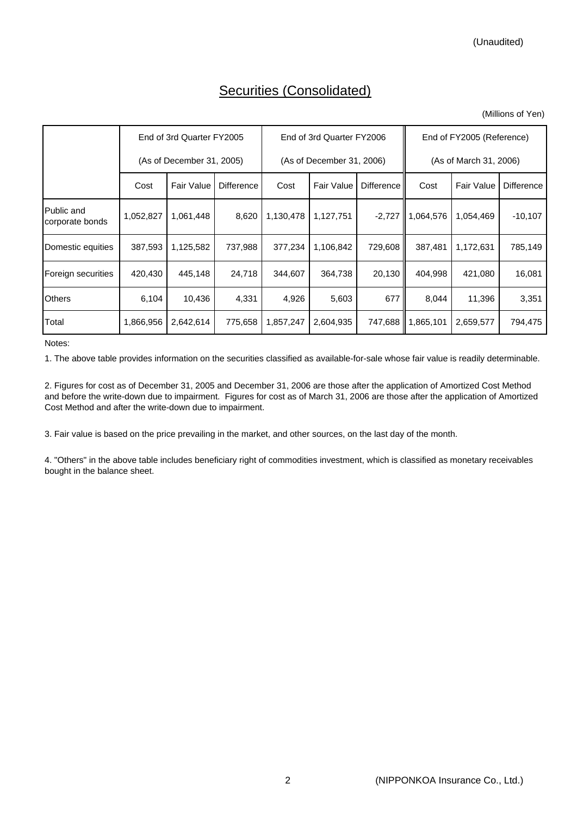# Securities (Consolidated)

| (Millions of Yen) |  |
|-------------------|--|
|                   |  |

|                               |                           | End of 3rd Quarter FY2005 |                   |           | End of 3rd Quarter FY2006 |                   | End of FY2005 (Reference) |                   |                   |  |
|-------------------------------|---------------------------|---------------------------|-------------------|-----------|---------------------------|-------------------|---------------------------|-------------------|-------------------|--|
|                               | (As of December 31, 2005) |                           |                   |           | (As of December 31, 2006) |                   | (As of March 31, 2006)    |                   |                   |  |
|                               | Cost                      | <b>Fair Value</b>         | <b>Difference</b> | Cost      | <b>Fair Value</b>         | <b>Difference</b> | Cost                      | <b>Fair Value</b> | <b>Difference</b> |  |
| Public and<br>corporate bonds | 1,052,827                 | 1,061,448                 | 8,620             | 1,130,478 | 1,127,751                 |                   | $-2,727$   1,064,576      | 1,054,469         | $-10,107$         |  |
| Domestic equities             | 387,593                   | 1,125,582                 | 737,988           | 377,234   | 1,106,842                 | 729,608           | 387,481                   | 1,172,631         | 785,149           |  |
| Foreign securities            | 420,430                   | 445,148                   | 24,718            | 344,607   | 364,738                   | 20,130            | 404,998                   | 421,080           | 16,081            |  |
| <b>Others</b>                 | 6,104                     | 10,436                    | 4,331             | 4,926     | 5,603                     | 677               | 8,044                     | 11,396            | 3,351             |  |
| Total                         | 1,866,956                 | 2,642,614                 | 775,658           | 1,857,247 | 2,604,935                 | 747,688           | 1,865,101                 | 2,659,577         | 794,475           |  |

Notes:

1. The above table provides information on the securities classified as available-for-sale whose fair value is readily determinable.

2. Figures for cost as of December 31, 2005 and December 31, 2006 are those after the application of Amortized Cost Method and before the write-down due to impairment. Figures for cost as of March 31, 2006 are those after the application of Amortized Cost Method and after the write-down due to impairment.

3. Fair value is based on the price prevailing in the market, and other sources, on the last day of the month.

4. "Others" in the above table includes beneficiary right of commodities investment, which is classified as monetary receivables bought in the balance sheet.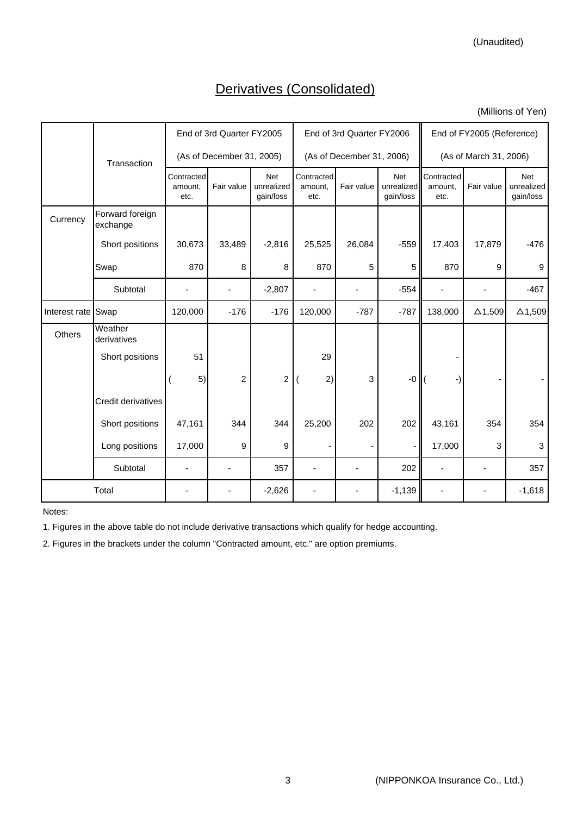(Unaudited)

# Derivatives (Consolidated)

(Millions of Yen)

|                    |                             |                               | End of 3rd Quarter FY2005 |                                       |                               | End of 3rd Quarter FY2006 |                                       | End of FY2005 (Reference)     |                |                                |  |
|--------------------|-----------------------------|-------------------------------|---------------------------|---------------------------------------|-------------------------------|---------------------------|---------------------------------------|-------------------------------|----------------|--------------------------------|--|
|                    | Transaction                 |                               | (As of December 31, 2005) |                                       |                               | (As of December 31, 2006) |                                       | (As of March 31, 2006)        |                |                                |  |
|                    |                             | Contracted<br>amount.<br>etc. | Fair value                | <b>Net</b><br>unrealized<br>gain/loss | Contracted<br>amount.<br>etc. | Fair value                | <b>Net</b><br>unrealized<br>gain/loss | Contracted<br>amount.<br>etc. | Fair value     | Net<br>unrealized<br>gain/loss |  |
| Currency           | Forward foreign<br>exchange |                               |                           |                                       |                               |                           |                                       |                               |                |                                |  |
|                    | Short positions             | 30,673                        | 33,489                    | $-2,816$                              | 25,525                        | 26,084                    | $-559$                                | 17,403                        | 17,879         | $-476$                         |  |
|                    | Swap                        | 870                           | 8                         | 8                                     | 870                           | 5                         | 5                                     | 870                           | 9              | 9                              |  |
|                    | Subtotal                    |                               |                           | $-2,807$                              |                               |                           | $-554$                                |                               |                | $-467$                         |  |
| Interest rate Swap |                             | 120,000                       | $-176$                    | $-176$                                | 120,000                       | $-787$                    | $-787$                                | 138,000                       | $\Delta$ 1,509 | $\Delta$ 1,509                 |  |
| Others             | Weather<br>derivatives      |                               |                           |                                       |                               |                           |                                       |                               |                |                                |  |
|                    | Short positions             | 51                            |                           |                                       | 29                            |                           |                                       |                               |                |                                |  |
|                    |                             | 5)                            | $\overline{c}$            | 2                                     | 2)                            | 3                         | $-0$                                  |                               |                |                                |  |
|                    | Credit derivatives          |                               |                           |                                       |                               |                           |                                       |                               |                |                                |  |
|                    | Short positions             | 47,161                        | 344                       | 344                                   | 25,200                        | 202                       | 202                                   | 43,161                        | 354            | 354                            |  |
|                    | Long positions              | 17,000                        | 9                         | 9                                     | ۰                             |                           |                                       | 17,000                        | 3              | 3                              |  |
|                    | Subtotal                    |                               |                           | 357                                   |                               |                           | 202                                   |                               |                | 357                            |  |
|                    | Total                       |                               |                           | $-2,626$                              |                               |                           | $-1,139$                              |                               |                | $-1,618$                       |  |

Notes:

1. Figures in the above table do not include derivative transactions which qualify for hedge accounting.

2. Figures in the brackets under the column "Contracted amount, etc." are option premiums.